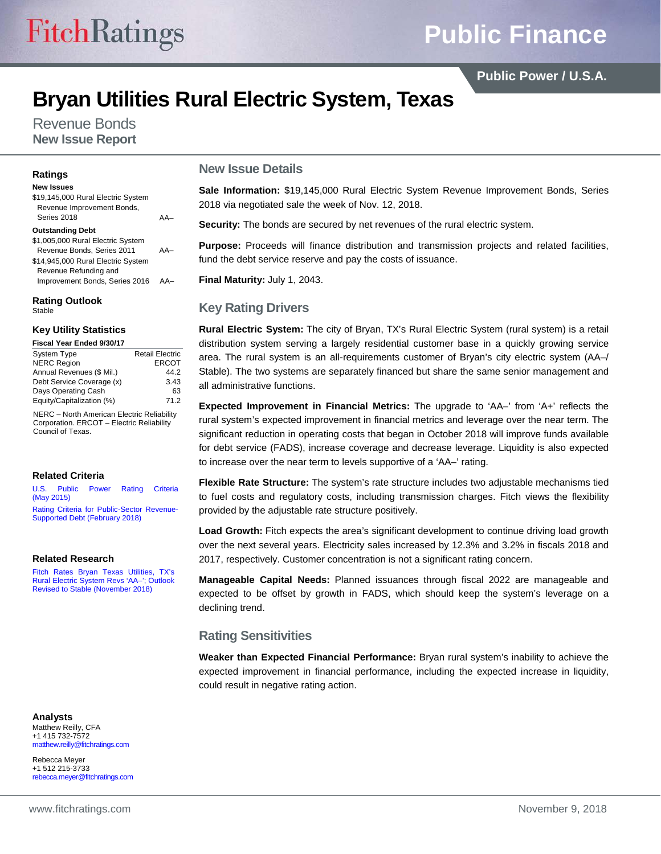# **Public Finance**

**Public Power / U.S.A.**

## **Bryan Utilities Rural Electric System, Texas**

Revenue Bonds **New Issue Report**

#### **Ratings**

#### **New Issues**

| \$19,145,000 Rural Electric System<br>Revenue Improvement Bonds,<br>Series 2018 | $\Delta \Delta$ |
|---------------------------------------------------------------------------------|-----------------|
| <b>Outstanding Debt</b>                                                         |                 |
| \$1,005,000 Rural Electric System                                               |                 |
| Revenue Bonds, Series 2011                                                      | $\Delta \Delta$ |
| \$14,945,000 Rural Electric System                                              |                 |
| Revenue Refunding and                                                           |                 |
| Improvement Bonds, Series 2016                                                  |                 |
|                                                                                 |                 |

**Rating Outlook** Stable

#### **Key Utility Statistics**

**Fiscal Year Ended 9/30/17**

| <b>System Type</b>        | <b>Retail Electric</b> |
|---------------------------|------------------------|
| <b>NERC Region</b>        | <b>ERCOT</b>           |
| Annual Revenues (\$ Mil.) | 44.2                   |
| Debt Service Coverage (x) | 3.43                   |
| Days Operating Cash       | 63                     |
| Equity/Capitalization (%) | 71.2                   |
|                           |                        |

NERC – North American Electric Reliability Corporation. ERCOT – Electric Reliability Council of Texas.

#### **Related Criteria**

[U.S. Public Power Rating Criteria](https://www.fitchratings.com/site/re/864007)  [\(May 2015\)](https://www.fitchratings.com/site/re/864007) [Rating Criteria for Public-Sector Revenue-](https://www.fitchratings.com/site/re/10020113)[Supported Debt \(February 2018\)](https://www.fitchratings.com/site/re/10020113)

#### **Related Research**

[Fitch Rates Bryan Texas Utilities, TX's](https://www.fitchratings.com/site/pr/10049407)  [Rural Electric System Revs 'AA–'; Outlook](https://www.fitchratings.com/site/pr/10049407)  [Revised to Stable \(November 2018\)](https://www.fitchratings.com/site/pr/10049407)

#### **Analysts**

Matthew Reilly, CFA +1 415 732-7572 matthew.reilly@fitchratings.com

Rebecca Meyer +1 512 215-3733 rebecca.meyer@fitchratings.com

#### **New Issue Details**

**Sale Information:** \$19,145,000 Rural Electric System Revenue Improvement Bonds, Series 2018 via negotiated sale the week of Nov. 12, 2018.

**Security:** The bonds are secured by net revenues of the rural electric system.

**Purpose:** Proceeds will finance distribution and transmission projects and related facilities, fund the debt service reserve and pay the costs of issuance.

**Final Maturity:** July 1, 2043.

## **Key Rating Drivers**

**Rural Electric System:** The city of Bryan, TX's Rural Electric System (rural system) is a retail distribution system serving a largely residential customer base in a quickly growing service area. The rural system is an all-requirements customer of Bryan's city electric system (AA–/ Stable). The two systems are separately financed but share the same senior management and all administrative functions.

**Expected Improvement in Financial Metrics:** The upgrade to 'AA–' from 'A+' reflects the rural system's expected improvement in financial metrics and leverage over the near term. The significant reduction in operating costs that began in October 2018 will improve funds available for debt service (FADS), increase coverage and decrease leverage. Liquidity is also expected to increase over the near term to levels supportive of a 'AA–' rating.

**Flexible Rate Structure:** The system's rate structure includes two adjustable mechanisms tied to fuel costs and regulatory costs, including transmission charges. Fitch views the flexibility provided by the adjustable rate structure positively.

**Load Growth:** Fitch expects the area's significant development to continue driving load growth over the next several years. Electricity sales increased by 12.3% and 3.2% in fiscals 2018 and 2017, respectively. Customer concentration is not a significant rating concern.

**Manageable Capital Needs:** Planned issuances through fiscal 2022 are manageable and expected to be offset by growth in FADS, which should keep the system's leverage on a declining trend.

### **Rating Sensitivities**

**Weaker than Expected Financial Performance:** Bryan rural system's inability to achieve the expected improvement in financial performance, including the expected increase in liquidity, could result in negative rating action.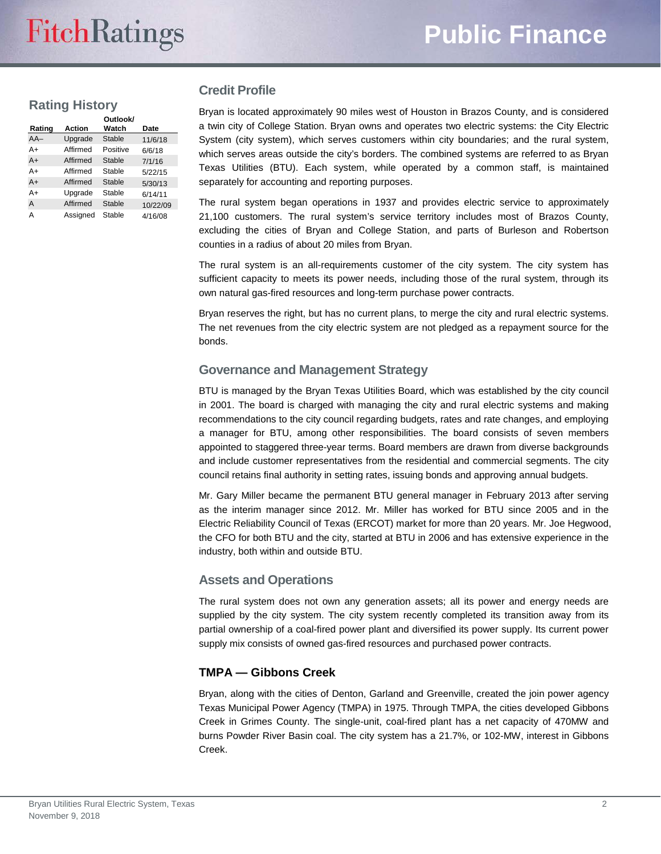## **Rating History**

| Rating | Action   | Outlook/<br>Watch | Date     |
|--------|----------|-------------------|----------|
| $AA-$  | Upgrade  | Stable            | 11/6/18  |
| A+     | Affirmed | Positive          | 6/6/18   |
| $A+$   | Affirmed | Stable            | 7/1/16   |
| A+     | Affirmed | Stable            | 5/22/15  |
| $A+$   | Affirmed | Stable            | 5/30/13  |
| A+     | Upgrade  | Stable            | 6/14/11  |
| A      | Affirmed | Stable            | 10/22/09 |
| А      | Assigned | Stable            | 4/16/08  |

### **Credit Profile**

Bryan is located approximately 90 miles west of Houston in Brazos County, and is considered a twin city of College Station. Bryan owns and operates two electric systems: the City Electric System (city system), which serves customers within city boundaries; and the rural system, which serves areas outside the city's borders. The combined systems are referred to as Bryan Texas Utilities (BTU). Each system, while operated by a common staff, is maintained separately for accounting and reporting purposes.

The rural system began operations in 1937 and provides electric service to approximately 21,100 customers. The rural system's service territory includes most of Brazos County, excluding the cities of Bryan and College Station, and parts of Burleson and Robertson counties in a radius of about 20 miles from Bryan.

The rural system is an all-requirements customer of the city system. The city system has sufficient capacity to meets its power needs, including those of the rural system, through its own natural gas-fired resources and long-term purchase power contracts.

Bryan reserves the right, but has no current plans, to merge the city and rural electric systems. The net revenues from the city electric system are not pledged as a repayment source for the bonds.

### **Governance and Management Strategy**

BTU is managed by the Bryan Texas Utilities Board, which was established by the city council in 2001. The board is charged with managing the city and rural electric systems and making recommendations to the city council regarding budgets, rates and rate changes, and employing a manager for BTU, among other responsibilities. The board consists of seven members appointed to staggered three-year terms. Board members are drawn from diverse backgrounds and include customer representatives from the residential and commercial segments. The city council retains final authority in setting rates, issuing bonds and approving annual budgets.

Mr. Gary Miller became the permanent BTU general manager in February 2013 after serving as the interim manager since 2012. Mr. Miller has worked for BTU since 2005 and in the Electric Reliability Council of Texas (ERCOT) market for more than 20 years. Mr. Joe Hegwood, the CFO for both BTU and the city, started at BTU in 2006 and has extensive experience in the industry, both within and outside BTU.

### **Assets and Operations**

The rural system does not own any generation assets; all its power and energy needs are supplied by the city system. The city system recently completed its transition away from its partial ownership of a coal-fired power plant and diversified its power supply. Its current power supply mix consists of owned gas-fired resources and purchased power contracts.

### **TMPA — Gibbons Creek**

Bryan, along with the cities of Denton, Garland and Greenville, created the join power agency Texas Municipal Power Agency (TMPA) in 1975. Through TMPA, the cities developed Gibbons Creek in Grimes County. The single-unit, coal-fired plant has a net capacity of 470MW and burns Powder River Basin coal. The city system has a 21.7%, or 102-MW, interest in Gibbons Creek.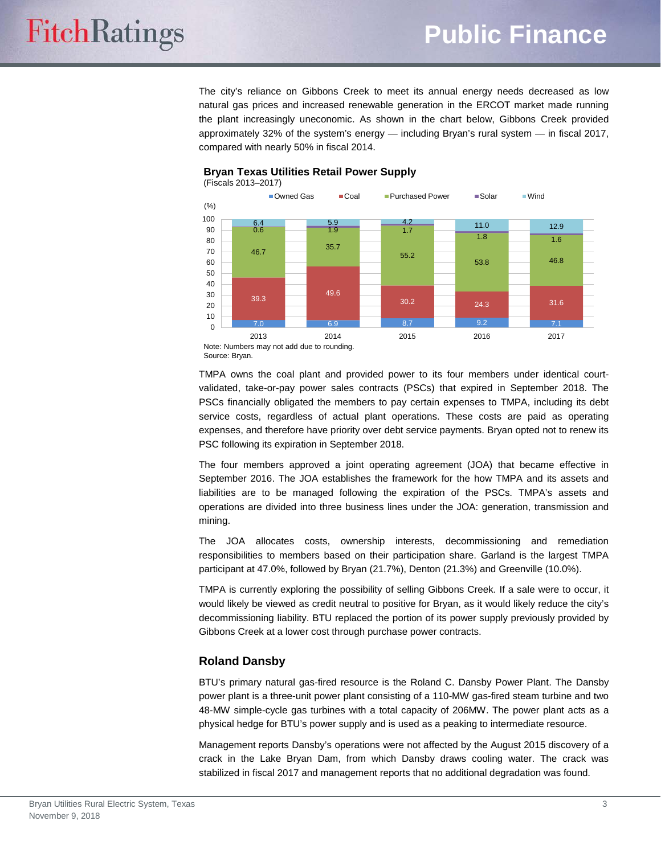

## **Bryan Texas Utilities Retail Power Supply**

Note: Numbers may not add due to rounding. Source: Bryan.

TMPA owns the coal plant and provided power to its four members under identical courtvalidated, take-or-pay power sales contracts (PSCs) that expired in September 2018. The PSCs financially obligated the members to pay certain expenses to TMPA, including its debt service costs, regardless of actual plant operations. These costs are paid as operating expenses, and therefore have priority over debt service payments. Bryan opted not to renew its PSC following its expiration in September 2018.

The four members approved a joint operating agreement (JOA) that became effective in September 2016. The JOA establishes the framework for the how TMPA and its assets and liabilities are to be managed following the expiration of the PSCs. TMPA's assets and operations are divided into three business lines under the JOA: generation, transmission and mining.

The JOA allocates costs, ownership interests, decommissioning and remediation responsibilities to members based on their participation share. Garland is the largest TMPA participant at 47.0%, followed by Bryan (21.7%), Denton (21.3%) and Greenville (10.0%).

TMPA is currently exploring the possibility of selling Gibbons Creek. If a sale were to occur, it would likely be viewed as credit neutral to positive for Bryan, as it would likely reduce the city's decommissioning liability. BTU replaced the portion of its power supply previously provided by Gibbons Creek at a lower cost through purchase power contracts.

## **Roland Dansby**

BTU's primary natural gas-fired resource is the Roland C. Dansby Power Plant. The Dansby power plant is a three-unit power plant consisting of a 110-MW gas-fired steam turbine and two 48-MW simple-cycle gas turbines with a total capacity of 206MW. The power plant acts as a physical hedge for BTU's power supply and is used as a peaking to intermediate resource.

Management reports Dansby's operations were not affected by the August 2015 discovery of a crack in the Lake Bryan Dam, from which Dansby draws cooling water. The crack was stabilized in fiscal 2017 and management reports that no additional degradation was found.

**FitchRatings**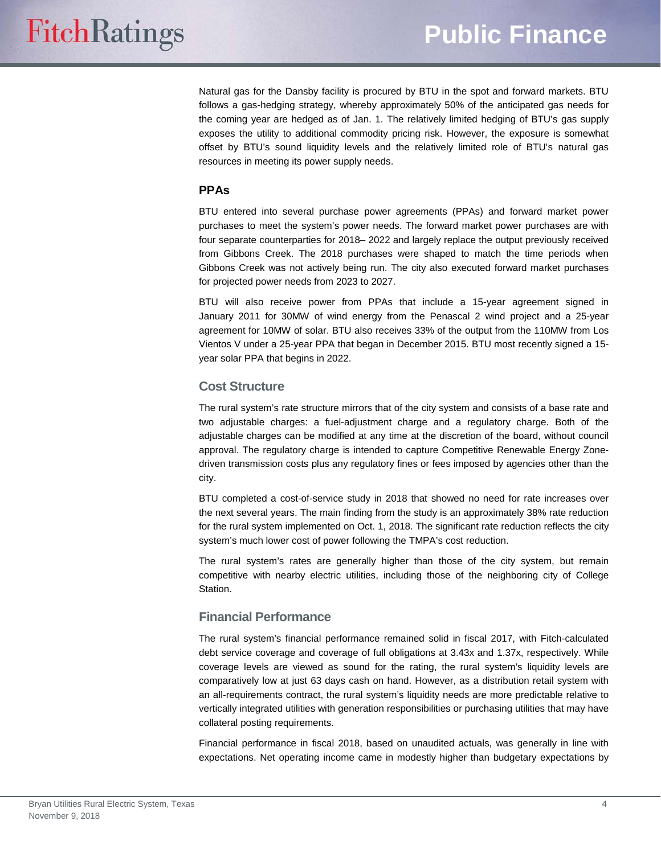Natural gas for the Dansby facility is procured by BTU in the spot and forward markets. BTU follows a gas-hedging strategy, whereby approximately 50% of the anticipated gas needs for the coming year are hedged as of Jan. 1. The relatively limited hedging of BTU's gas supply exposes the utility to additional commodity pricing risk. However, the exposure is somewhat offset by BTU's sound liquidity levels and the relatively limited role of BTU's natural gas resources in meeting its power supply needs.

#### **PPAs**

BTU entered into several purchase power agreements (PPAs) and forward market power purchases to meet the system's power needs. The forward market power purchases are with four separate counterparties for 2018– 2022 and largely replace the output previously received from Gibbons Creek. The 2018 purchases were shaped to match the time periods when Gibbons Creek was not actively being run. The city also executed forward market purchases for projected power needs from 2023 to 2027.

BTU will also receive power from PPAs that include a 15-year agreement signed in January 2011 for 30MW of wind energy from the Penascal 2 wind project and a 25-year agreement for 10MW of solar. BTU also receives 33% of the output from the 110MW from Los Vientos V under a 25-year PPA that began in December 2015. BTU most recently signed a 15 year solar PPA that begins in 2022.

#### **Cost Structure**

The rural system's rate structure mirrors that of the city system and consists of a base rate and two adjustable charges: a fuel-adjustment charge and a regulatory charge. Both of the adjustable charges can be modified at any time at the discretion of the board, without council approval. The regulatory charge is intended to capture Competitive Renewable Energy Zonedriven transmission costs plus any regulatory fines or fees imposed by agencies other than the city.

BTU completed a cost-of-service study in 2018 that showed no need for rate increases over the next several years. The main finding from the study is an approximately 38% rate reduction for the rural system implemented on Oct. 1, 2018. The significant rate reduction reflects the city system's much lower cost of power following the TMPA's cost reduction.

The rural system's rates are generally higher than those of the city system, but remain competitive with nearby electric utilities, including those of the neighboring city of College Station.

### **Financial Performance**

The rural system's financial performance remained solid in fiscal 2017, with Fitch-calculated debt service coverage and coverage of full obligations at 3.43x and 1.37x, respectively. While coverage levels are viewed as sound for the rating, the rural system's liquidity levels are comparatively low at just 63 days cash on hand. However, as a distribution retail system with an all-requirements contract, the rural system's liquidity needs are more predictable relative to vertically integrated utilities with generation responsibilities or purchasing utilities that may have collateral posting requirements.

Financial performance in fiscal 2018, based on unaudited actuals, was generally in line with expectations. Net operating income came in modestly higher than budgetary expectations by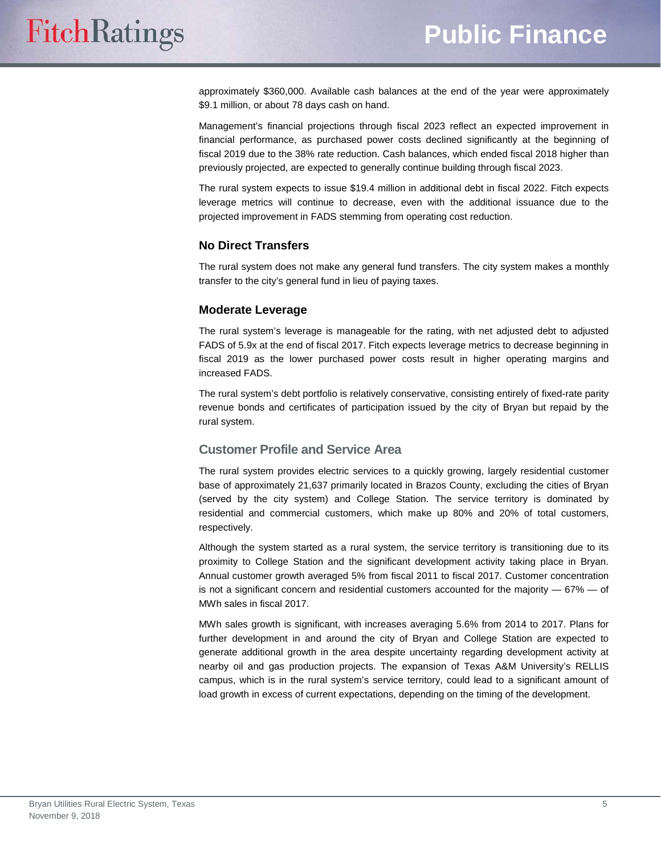approximately \$360,000. Available cash balances at the end of the year were approximately \$9.1 million, or about 78 days cash on hand.

Management's financial projections through fiscal 2023 reflect an expected improvement in financial performance, as purchased power costs declined significantly at the beginning of fiscal 2019 due to the 38% rate reduction. Cash balances, which ended fiscal 2018 higher than previously projected, are expected to generally continue building through fiscal 2023.

The rural system expects to issue \$19.4 million in additional debt in fiscal 2022. Fitch expects leverage metrics will continue to decrease, even with the additional issuance due to the projected improvement in FADS stemming from operating cost reduction.

#### **No Direct Transfers**

The rural system does not make any general fund transfers. The city system makes a monthly transfer to the city's general fund in lieu of paying taxes.

#### **Moderate Leverage**

The rural system's leverage is manageable for the rating, with net adjusted debt to adjusted FADS of 5.9x at the end of fiscal 2017. Fitch expects leverage metrics to decrease beginning in fiscal 2019 as the lower purchased power costs result in higher operating margins and increased FADS.

The rural system's debt portfolio is relatively conservative, consisting entirely of fixed-rate parity revenue bonds and certificates of participation issued by the city of Bryan but repaid by the rural system.

### **Customer Profile and Service Area**

The rural system provides electric services to a quickly growing, largely residential customer base of approximately 21,637 primarily located in Brazos County, excluding the cities of Bryan (served by the city system) and College Station. The service territory is dominated by residential and commercial customers, which make up 80% and 20% of total customers, respectively.

Although the system started as a rural system, the service territory is transitioning due to its proximity to College Station and the significant development activity taking place in Bryan. Annual customer growth averaged 5% from fiscal 2011 to fiscal 2017. Customer concentration is not a significant concern and residential customers accounted for the majority  $-67\%$   $-$  of MWh sales in fiscal 2017.

MWh sales growth is significant, with increases averaging 5.6% from 2014 to 2017. Plans for further development in and around the city of Bryan and College Station are expected to generate additional growth in the area despite uncertainty regarding development activity at nearby oil and gas production projects. The expansion of Texas A&M University's RELLIS campus, which is in the rural system's service territory, could lead to a significant amount of load growth in excess of current expectations, depending on the timing of the development.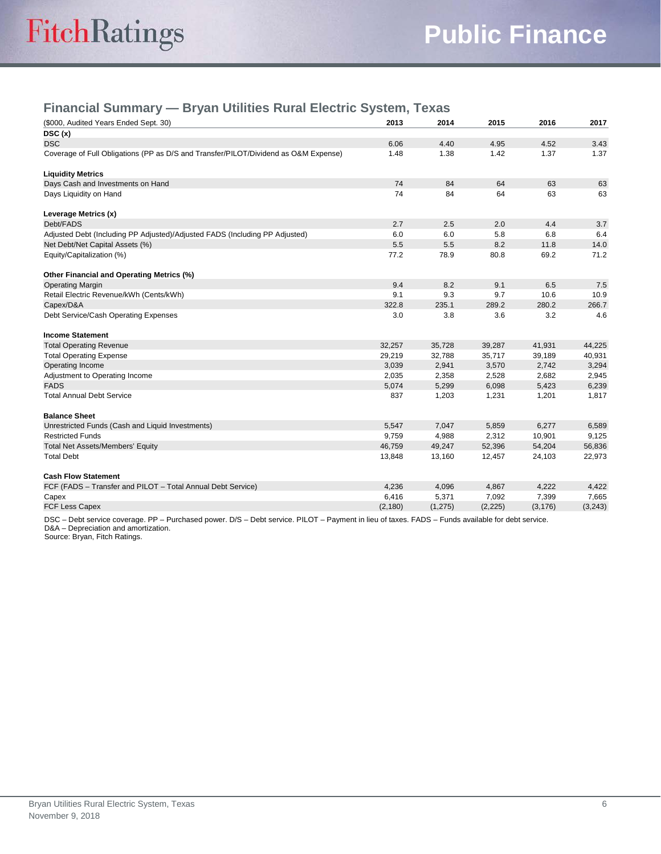## **Financial Summary — Bryan Utilities Rural Electric System, Texas**

| (\$000, Audited Years Ended Sept. 30)                                               | 2013     | 2014     | 2015     | 2016     | 2017     |
|-------------------------------------------------------------------------------------|----------|----------|----------|----------|----------|
| DSC(x)                                                                              |          |          |          |          |          |
| <b>DSC</b>                                                                          | 6.06     | 4.40     | 4.95     | 4.52     | 3.43     |
| Coverage of Full Obligations (PP as D/S and Transfer/PILOT/Dividend as O&M Expense) | 1.48     | 1.38     | 1.42     | 1.37     | 1.37     |
| <b>Liquidity Metrics</b>                                                            |          |          |          |          |          |
| Days Cash and Investments on Hand                                                   | 74       | 84       | 64       | 63       | 63       |
| Days Liquidity on Hand                                                              | 74       | 84       | 64       | 63       | 63       |
| Leverage Metrics (x)                                                                |          |          |          |          |          |
| Debt/FADS                                                                           | 2.7      | 2.5      | 2.0      | 4.4      | 3.7      |
| Adjusted Debt (Including PP Adjusted)/Adjusted FADS (Including PP Adjusted)         | 6.0      | 6.0      | 5.8      | 6.8      | 6.4      |
| Net Debt/Net Capital Assets (%)                                                     | 5.5      | 5.5      | 8.2      | 11.8     | 14.0     |
| Equity/Capitalization (%)                                                           | 77.2     | 78.9     | 80.8     | 69.2     | 71.2     |
| Other Financial and Operating Metrics (%)                                           |          |          |          |          |          |
| <b>Operating Margin</b>                                                             | 9.4      | 8.2      | 9.1      | 6.5      | 7.5      |
| Retail Electric Revenue/kWh (Cents/kWh)                                             | 9.1      | 9.3      | 9.7      | 10.6     | 10.9     |
| Capex/D&A                                                                           | 322.8    | 235.1    | 289.2    | 280.2    | 266.7    |
| Debt Service/Cash Operating Expenses                                                | 3.0      | 3.8      | 3.6      | 3.2      | 4.6      |
| <b>Income Statement</b>                                                             |          |          |          |          |          |
| <b>Total Operating Revenue</b>                                                      | 32,257   | 35,728   | 39,287   | 41,931   | 44,225   |
| <b>Total Operating Expense</b>                                                      | 29,219   | 32,788   | 35,717   | 39,189   | 40,931   |
| Operating Income                                                                    | 3,039    | 2,941    | 3,570    | 2,742    | 3,294    |
| Adjustment to Operating Income                                                      | 2,035    | 2,358    | 2,528    | 2,682    | 2,945    |
| <b>FADS</b>                                                                         | 5,074    | 5,299    | 6,098    | 5,423    | 6,239    |
| <b>Total Annual Debt Service</b>                                                    | 837      | 1,203    | 1,231    | 1,201    | 1,817    |
| <b>Balance Sheet</b>                                                                |          |          |          |          |          |
| Unrestricted Funds (Cash and Liquid Investments)                                    | 5,547    | 7,047    | 5,859    | 6,277    | 6,589    |
| <b>Restricted Funds</b>                                                             | 9,759    | 4,988    | 2,312    | 10,901   | 9,125    |
| <b>Total Net Assets/Members' Equity</b>                                             | 46,759   | 49,247   | 52,396   | 54,204   | 56,836   |
| <b>Total Debt</b>                                                                   | 13,848   | 13,160   | 12,457   | 24,103   | 22,973   |
| <b>Cash Flow Statement</b>                                                          |          |          |          |          |          |
| FCF (FADS - Transfer and PILOT - Total Annual Debt Service)                         | 4,236    | 4,096    | 4,867    | 4,222    | 4,422    |
| Capex                                                                               | 6,416    | 5,371    | 7,092    | 7,399    | 7,665    |
| <b>FCF Less Capex</b>                                                               | (2, 180) | (1, 275) | (2, 225) | (3, 176) | (3, 243) |

DSC – Debt service coverage. PP – Purchased power. D/S – Debt service. PILOT – Payment in lieu of taxes. FADS – Funds available for debt service. D&A – Depreciation and amortization.

Source: Bryan, Fitch Ratings.